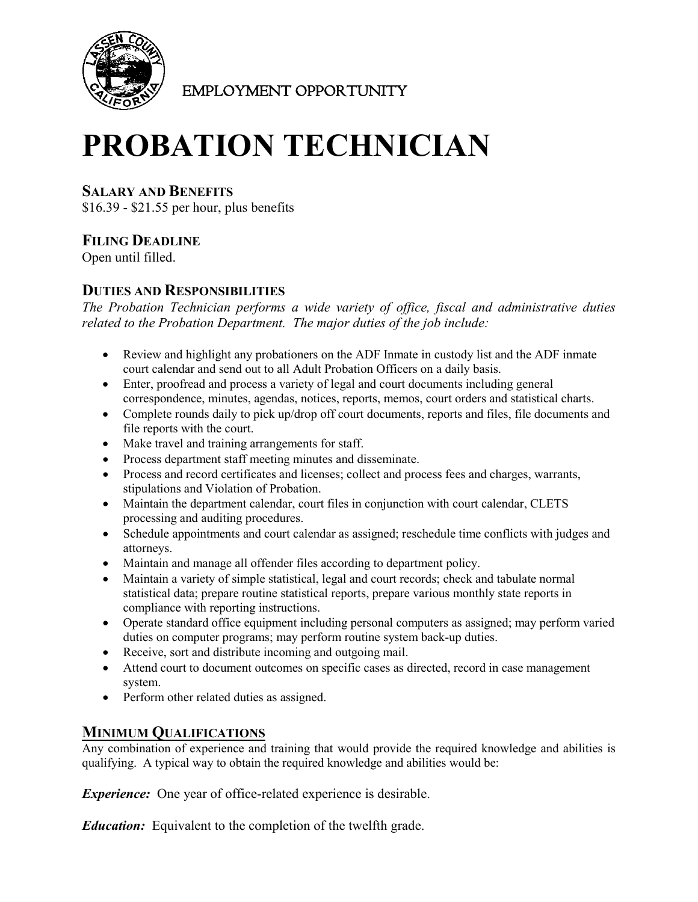

EMPLOYMENT OPPORTUNITY

# **PROBATION TECHNICIAN**

## **SALARY AND BENEFITS**

\$16.39 - \$21.55 per hour, plus benefits

# **FILING DEADLINE**

Open until filled.

# **DUTIES AND RESPONSIBILITIES**

*The Probation Technician performs a wide variety of office, fiscal and administrative duties related to the Probation Department. The major duties of the job include:*

- Review and highlight any probationers on the ADF Inmate in custody list and the ADF inmate court calendar and send out to all Adult Probation Officers on a daily basis.
- Enter, proofread and process a variety of legal and court documents including general correspondence, minutes, agendas, notices, reports, memos, court orders and statistical charts.
- Complete rounds daily to pick up/drop off court documents, reports and files, file documents and file reports with the court.
- Make travel and training arrangements for staff.
- Process department staff meeting minutes and disseminate.
- Process and record certificates and licenses; collect and process fees and charges, warrants, stipulations and Violation of Probation.
- Maintain the department calendar, court files in conjunction with court calendar, CLETS processing and auditing procedures.
- Schedule appointments and court calendar as assigned; reschedule time conflicts with judges and attorneys.
- Maintain and manage all offender files according to department policy.
- Maintain a variety of simple statistical, legal and court records; check and tabulate normal statistical data; prepare routine statistical reports, prepare various monthly state reports in compliance with reporting instructions.
- Operate standard office equipment including personal computers as assigned; may perform varied duties on computer programs; may perform routine system back-up duties.
- Receive, sort and distribute incoming and outgoing mail.
- Attend court to document outcomes on specific cases as directed, record in case management system.
- Perform other related duties as assigned.

## **MINIMUM QUALIFICATIONS**

Any combination of experience and training that would provide the required knowledge and abilities is qualifying. A typical way to obtain the required knowledge and abilities would be:

*Experience:* One year of office-related experience is desirable.

*Education:* Equivalent to the completion of the twelfth grade.